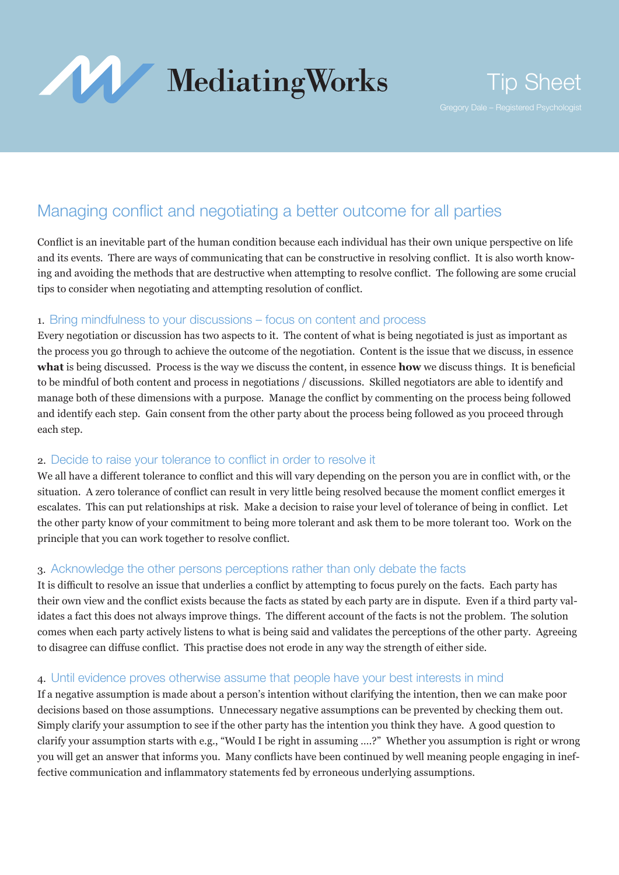

# Managing conflict and negotiating a better outcome for all parties

Conflict is an inevitable part of the human condition because each individual has their own unique perspective on life and its events. There are ways of communicating that can be constructive in resolving conflict. It is also worth knowing and avoiding the methods that are destructive when attempting to resolve conflict. The following are some crucial tips to consider when negotiating and attempting resolution of conflict.

## 1. Bring mindfulness to your discussions – focus on content and process

Every negotiation or discussion has two aspects to it. The content of what is being negotiated is just as important as the process you go through to achieve the outcome of the negotiation. Content is the issue that we discuss, in essence **what** is being discussed. Process is the way we discuss the content, in essence **how** we discuss things. It is beneficial to be mindful of both content and process in negotiations / discussions. Skilled negotiators are able to identify and manage both of these dimensions with a purpose. Manage the conflict by commenting on the process being followed and identify each step. Gain consent from the other party about the process being followed as you proceed through each step.

# 2. Decide to raise your tolerance to conflict in order to resolve it

We all have a different tolerance to conflict and this will vary depending on the person you are in conflict with, or the situation. A zero tolerance of conflict can result in very little being resolved because the moment conflict emerges it escalates. This can put relationships at risk. Make a decision to raise your level of tolerance of being in conflict. Let the other party know of your commitment to being more tolerant and ask them to be more tolerant too. Work on the principle that you can work together to resolve conflict.

# 3. Acknowledge the other persons perceptions rather than only debate the facts

It is difficult to resolve an issue that underlies a conflict by attempting to focus purely on the facts. Each party has their own view and the conflict exists because the facts as stated by each party are in dispute. Even if a third party validates a fact this does not always improve things. The different account of the facts is not the problem. The solution comes when each party actively listens to what is being said and validates the perceptions of the other party. Agreeing to disagree can diffuse conflict. This practise does not erode in any way the strength of either side.

# 4. Until evidence proves otherwise assume that people have your best interests in mind

If a negative assumption is made about a person's intention without clarifying the intention, then we can make poor decisions based on those assumptions. Unnecessary negative assumptions can be prevented by checking them out. Simply clarify your assumption to see if the other party has the intention you think they have. A good question to clarify your assumption starts with e.g., "Would I be right in assuming ….?" Whether you assumption is right or wrong you will get an answer that informs you. Many conflicts have been continued by well meaning people engaging in ineffective communication and inflammatory statements fed by erroneous underlying assumptions.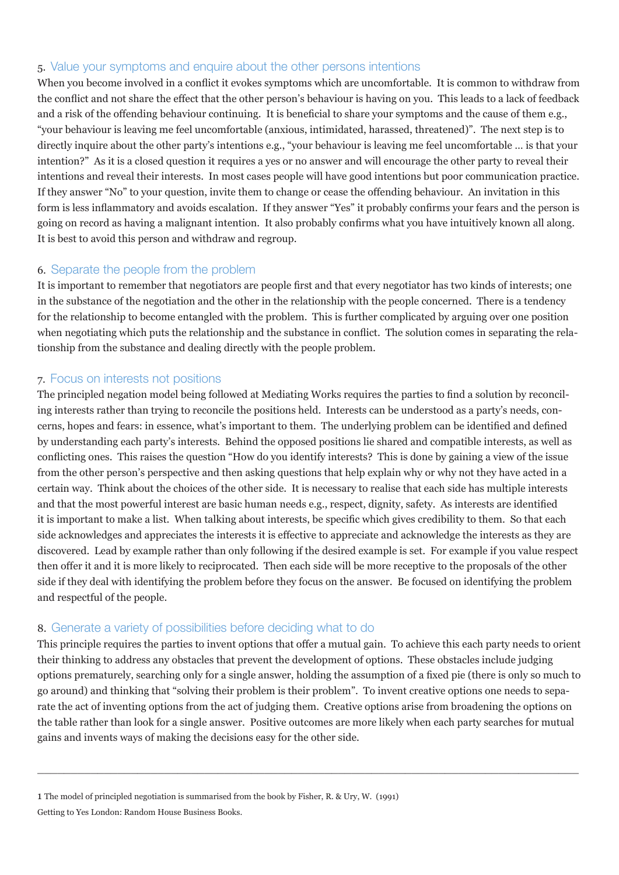#### 5. Value your symptoms and enquire about the other persons intentions

When you become involved in a conflict it evokes symptoms which are uncomfortable. It is common to withdraw from the conflict and not share the effect that the other person's behaviour is having on you. This leads to a lack of feedback and a risk of the offending behaviour continuing. It is beneficial to share your symptoms and the cause of them e.g., "your behaviour is leaving me feel uncomfortable (anxious, intimidated, harassed, threatened)". The next step is to directly inquire about the other party's intentions e.g., "your behaviour is leaving me feel uncomfortable … is that your intention?" As it is a closed question it requires a yes or no answer and will encourage the other party to reveal their intentions and reveal their interests. In most cases people will have good intentions but poor communication practice. If they answer "No" to your question, invite them to change or cease the offending behaviour. An invitation in this form is less inflammatory and avoids escalation. If they answer "Yes" it probably confirms your fears and the person is going on record as having a malignant intention. It also probably confirms what you have intuitively known all along. It is best to avoid this person and withdraw and regroup.

## 6. Separate the people from the problem

It is important to remember that negotiators are people first and that every negotiator has two kinds of interests; one in the substance of the negotiation and the other in the relationship with the people concerned. There is a tendency for the relationship to become entangled with the problem. This is further complicated by arguing over one position when negotiating which puts the relationship and the substance in conflict. The solution comes in separating the relationship from the substance and dealing directly with the people problem.

## 7. Focus on interests not positions

The principled negation model being followed at Mediating Works requires the parties to find a solution by reconciling interests rather than trying to reconcile the positions held. Interests can be understood as a party's needs, concerns, hopes and fears: in essence, what's important to them. The underlying problem can be identified and defined by understanding each party's interests. Behind the opposed positions lie shared and compatible interests, as well as conflicting ones. This raises the question "How do you identify interests? This is done by gaining a view of the issue from the other person's perspective and then asking questions that help explain why or why not they have acted in a certain way. Think about the choices of the other side. It is necessary to realise that each side has multiple interests and that the most powerful interest are basic human needs e.g., respect, dignity, safety. As interests are identified it is important to make a list. When talking about interests, be specific which gives credibility to them. So that each side acknowledges and appreciates the interests it is effective to appreciate and acknowledge the interests as they are discovered. Lead by example rather than only following if the desired example is set. For example if you value respect then offer it and it is more likely to reciprocated. Then each side will be more receptive to the proposals of the other side if they deal with identifying the problem before they focus on the answer. Be focused on identifying the problem and respectful of the people.

#### 8. Generate a variety of possibilities before deciding what to do

This principle requires the parties to invent options that offer a mutual gain. To achieve this each party needs to orient their thinking to address any obstacles that prevent the development of options. These obstacles include judging options prematurely, searching only for a single answer, holding the assumption of a fixed pie (there is only so much to go around) and thinking that "solving their problem is their problem". To invent creative options one needs to separate the act of inventing options from the act of judging them. Creative options arise from broadening the options on the table rather than look for a single answer. Positive outcomes are more likely when each party searches for mutual gains and invents ways of making the decisions easy for the other side.

 $\_$  , and the set of the set of the set of the set of the set of the set of the set of the set of the set of the set of the set of the set of the set of the set of the set of the set of the set of the set of the set of th

1 The model of principled negotiation is summarised from the book by Fisher, R. & Ury, W. (1991) Getting to Yes London: Random House Business Books.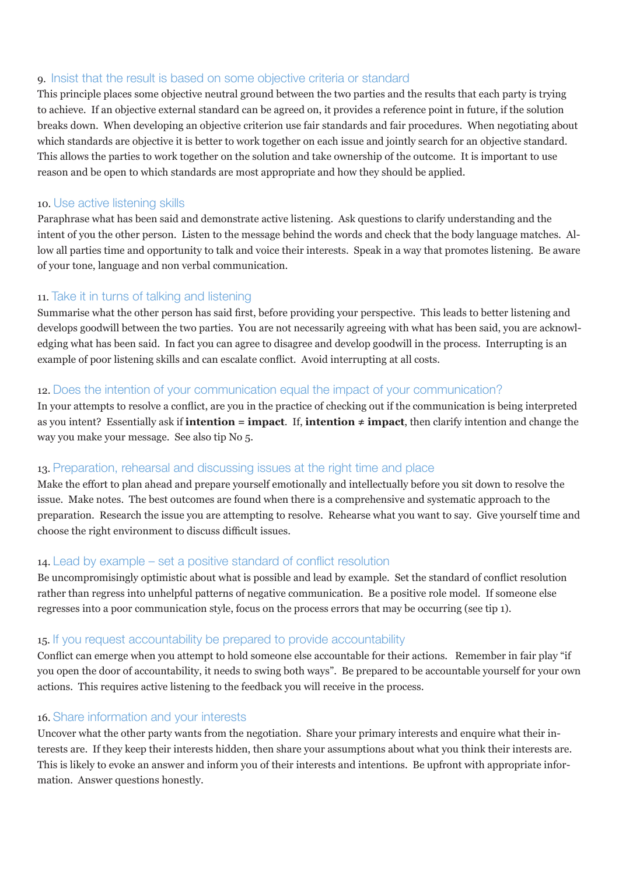#### 9. Insist that the result is based on some objective criteria or standard

This principle places some objective neutral ground between the two parties and the results that each party is trying to achieve. If an objective external standard can be agreed on, it provides a reference point in future, if the solution breaks down. When developing an objective criterion use fair standards and fair procedures. When negotiating about which standards are objective it is better to work together on each issue and jointly search for an objective standard. This allows the parties to work together on the solution and take ownership of the outcome. It is important to use reason and be open to which standards are most appropriate and how they should be applied.

#### 10. Use active listening skills

Paraphrase what has been said and demonstrate active listening. Ask questions to clarify understanding and the intent of you the other person. Listen to the message behind the words and check that the body language matches. Allow all parties time and opportunity to talk and voice their interests. Speak in a way that promotes listening. Be aware of your tone, language and non verbal communication.

# 11. Take it in turns of talking and listening

Summarise what the other person has said first, before providing your perspective. This leads to better listening and develops goodwill between the two parties. You are not necessarily agreeing with what has been said, you are acknowledging what has been said. In fact you can agree to disagree and develop goodwill in the process. Interrupting is an example of poor listening skills and can escalate conflict. Avoid interrupting at all costs.

## 12. Does the intention of your communication equal the impact of your communication?

In your attempts to resolve a conflict, are you in the practice of checking out if the communication is being interpreted as you intent? Essentially ask if **intention = impact**. If, **intention ≠ impact**, then clarify intention and change the way you make your message. See also tip No 5.

#### 13. Preparation, rehearsal and discussing issues at the right time and place

Make the effort to plan ahead and prepare yourself emotionally and intellectually before you sit down to resolve the issue. Make notes. The best outcomes are found when there is a comprehensive and systematic approach to the preparation. Research the issue you are attempting to resolve. Rehearse what you want to say. Give yourself time and choose the right environment to discuss difficult issues.

# 14. Lead by example – set a positive standard of conflict resolution

Be uncompromisingly optimistic about what is possible and lead by example. Set the standard of conflict resolution rather than regress into unhelpful patterns of negative communication. Be a positive role model. If someone else regresses into a poor communication style, focus on the process errors that may be occurring (see tip 1).

#### 15. If you request accountability be prepared to provide accountability

Conflict can emerge when you attempt to hold someone else accountable for their actions. Remember in fair play "if you open the door of accountability, it needs to swing both ways". Be prepared to be accountable yourself for your own actions. This requires active listening to the feedback you will receive in the process.

#### 16. Share information and your interests

Uncover what the other party wants from the negotiation. Share your primary interests and enquire what their interests are. If they keep their interests hidden, then share your assumptions about what you think their interests are. This is likely to evoke an answer and inform you of their interests and intentions. Be upfront with appropriate information. Answer questions honestly.